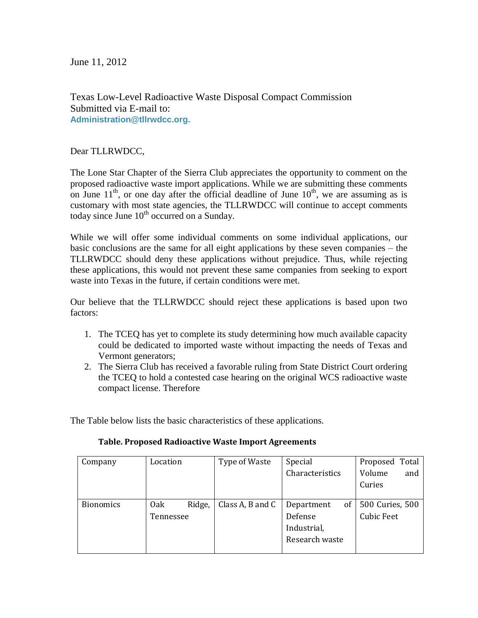June 11, 2012

Texas Low-Level Radioactive Waste Disposal Compact Commission Submitted via E-mail to: **[Administration@tllrwdcc.org.](mailto:administration@tllrwdcc.org)**

Dear TLLRWDCC,

The Lone Star Chapter of the Sierra Club appreciates the opportunity to comment on the proposed radioactive waste import applications. While we are submitting these comments on June  $11^{th}$ , or one day after the official deadline of June  $10^{th}$ , we are assuming as is customary with most state agencies, the TLLRWDCC will continue to accept comments today since June  $10^{th}$  occurred on a Sunday.

While we will offer some individual comments on some individual applications, our basic conclusions are the same for all eight applications by these seven companies – the TLLRWDCC should deny these applications without prejudice. Thus, while rejecting these applications, this would not prevent these same companies from seeking to export waste into Texas in the future, if certain conditions were met.

Our believe that the TLLRWDCC should reject these applications is based upon two factors:

- 1. The TCEQ has yet to complete its study determining how much available capacity could be dedicated to imported waste without impacting the needs of Texas and Vermont generators;
- 2. The Sierra Club has received a favorable ruling from State District Court ordering the TCEQ to hold a contested case hearing on the original WCS radioactive waste compact license. Therefore

The Table below lists the basic characteristics of these applications.

| Company          | Location  |        | Type of Waste    | Special          | Proposed Total    |
|------------------|-----------|--------|------------------|------------------|-------------------|
|                  |           |        |                  | Characteristics  | Volume<br>and     |
|                  |           |        |                  |                  | Curies            |
|                  |           |        |                  |                  |                   |
| <b>Bionomics</b> | 0ak       | Ridge, | Class A, B and C | Department<br>οf | 500 Curies, 500   |
|                  | Tennessee |        |                  | Defense          | <b>Cubic Feet</b> |
|                  |           |        |                  | Industrial,      |                   |
|                  |           |        |                  | Research waste   |                   |
|                  |           |        |                  |                  |                   |

## **Table. Proposed Radioactive Waste Import Agreements**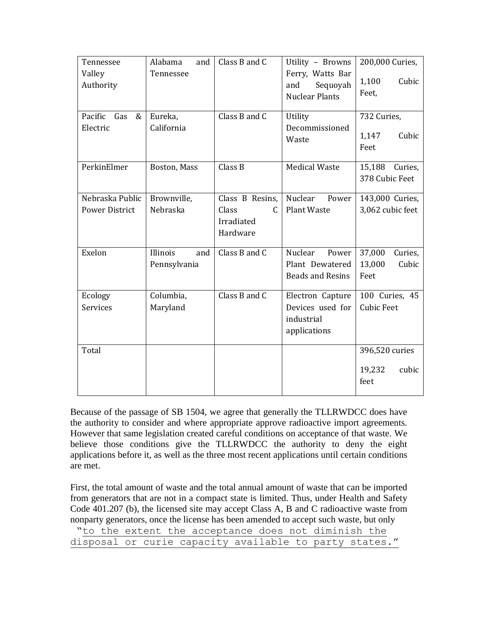| Tennessee<br>Valley             | Alabama<br>and<br>Tennessee | Class B and C   | Utility - Browns<br>Ferry, Watts Bar     | 200,000 Curies,                  |
|---------------------------------|-----------------------------|-----------------|------------------------------------------|----------------------------------|
| Authority                       |                             |                 | Sequoyah<br>and<br><b>Nuclear Plants</b> | 1,100<br>Cubic<br>Feet,          |
| Pacific<br>Gas<br>&<br>Electric | Eureka,<br>California       | Class B and C   | Utility<br>Decommissioned                | 732 Curies,                      |
|                                 |                             |                 | Waste                                    | 1,147<br>Cubic<br>Feet           |
| PerkinElmer                     | Boston, Mass                | Class B         | <b>Medical Waste</b>                     | 15,188 Curies,<br>378 Cubic Feet |
| Nebraska Public                 | Brownville,                 | Class B Resins, | Nuclear<br>Power                         | 143,000 Curies,                  |
| <b>Power District</b>           | Nebraska                    | Class<br>C      | <b>Plant Waste</b>                       | 3,062 cubic feet                 |
|                                 |                             | Irradiated      |                                          |                                  |
|                                 |                             | Hardware        |                                          |                                  |
| Exelon                          | Illinois<br>and             | Class B and C   | Nuclear<br>Power                         | 37,000<br>Curies,                |
|                                 | Pennsylvania                |                 | Plant Dewatered                          | 13,000<br>Cubic                  |
|                                 |                             |                 | <b>Beads and Resins</b>                  | Feet                             |
| Ecology                         | Columbia,                   | Class B and C   | Electron Capture                         | 100 Curies, 45                   |
| <b>Services</b>                 | Maryland                    |                 | Devices used for                         | <b>Cubic Feet</b>                |
|                                 |                             |                 | industrial                               |                                  |
|                                 |                             |                 | applications                             |                                  |
| Total                           |                             |                 |                                          | 396,520 curies                   |
|                                 |                             |                 |                                          | 19,232<br>cubic                  |
|                                 |                             |                 |                                          | feet                             |
|                                 |                             |                 |                                          |                                  |

Because of the passage of SB 1504, we agree that generally the TLLRWDCC does have the authority to consider and where appropriate approve radioactive import agreements. However that same legislation created careful conditions on acceptance of that waste. We believe those conditions give the TLLRWDCC the authority to deny the eight applications before it, as well as the three most recent applications until certain conditions are met.

First, the total amount of waste and the total annual amount of waste that can be imported from generators that are not in a compact state is limited. Thus, under Health and Safety Code 401.207 (b), the licensed site may accept Class A, B and C radioactive waste from nonparty generators, once the license has been amended to accept such waste, but only "to the extent the acceptance does not diminish the

|                                                        |  |  | LO CIIC CALCIIC CIIC QUUUNCQIICU QUUD IIUC QIIIIIIIIIIII CIIU |  |  |
|--------------------------------------------------------|--|--|---------------------------------------------------------------|--|--|
| disposal or curie capacity available to party states." |  |  |                                                               |  |  |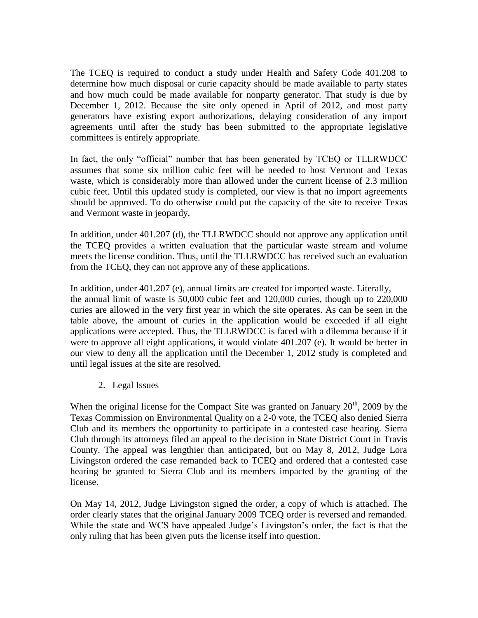The TCEQ is required to conduct a study under Health and Safety Code 401.208 to determine how much disposal or curie capacity should be made available to party states and how much could be made available for nonparty generator. That study is due by December 1, 2012. Because the site only opened in April of 2012, and most party generators have existing export authorizations, delaying consideration of any import agreements until after the study has been submitted to the appropriate legislative committees is entirely appropriate.

In fact, the only "official" number that has been generated by TCEQ or TLLRWDCC assumes that some six million cubic feet will be needed to host Vermont and Texas waste, which is considerably more than allowed under the current license of 2.3 million cubic feet. Until this updated study is completed, our view is that no import agreements should be approved. To do otherwise could put the capacity of the site to receive Texas and Vermont waste in jeopardy.

In addition, under 401.207 (d), the TLLRWDCC should not approve any application until the TCEQ provides a written evaluation that the particular waste stream and volume meets the license condition. Thus, until the TLLRWDCC has received such an evaluation from the TCEQ, they can not approve any of these applications.

In addition, under 401.207 (e), annual limits are created for imported waste. Literally, the annual limit of waste is 50,000 cubic feet and 120,000 curies, though up to 220,000 curies are allowed in the very first year in which the site operates. As can be seen in the table above, the amount of curies in the application would be exceeded if all eight applications were accepted. Thus, the TLLRWDCC is faced with a dilemma because if it were to approve all eight applications, it would violate 401.207 (e). It would be better in our view to deny all the application until the December 1, 2012 study is completed and until legal issues at the site are resolved.

2. Legal Issues

When the original license for the Compact Site was granted on January  $20<sup>th</sup>$ , 2009 by the Texas Commission on Environmental Quality on a 2-0 vote, the TCEQ also denied Sierra Club and its members the opportunity to participate in a contested case hearing. Sierra Club through its attorneys filed an appeal to the decision in State District Court in Travis County. The appeal was lengthier than anticipated, but on May 8, 2012, Judge Lora Livingston ordered the case remanded back to TCEQ and ordered that a contested case hearing be granted to Sierra Club and its members impacted by the granting of the license.

On May 14, 2012, Judge Livingston signed the order, a copy of which is attached. The order clearly states that the original January 2009 TCEQ order is reversed and remanded. While the state and WCS have appealed Judge's Livingston's order, the fact is that the only ruling that has been given puts the license itself into question.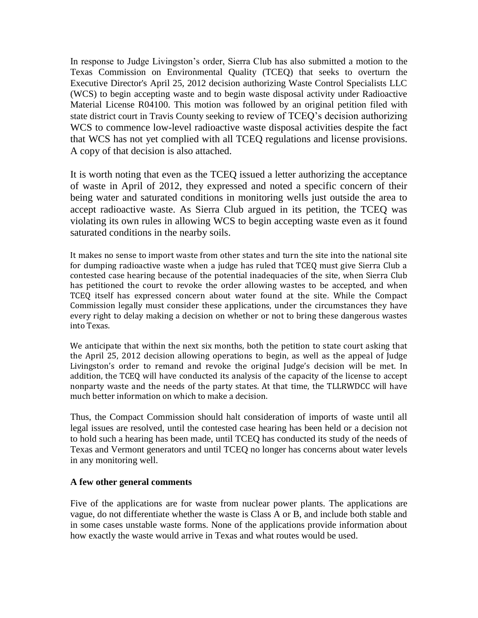In response to Judge Livingston's order, Sierra Club has also submitted a motion to the Texas Commission on Environmental Quality (TCEQ) that seeks to overturn the Executive Director's April 25, 2012 decision authorizing Waste Control Specialists LLC (WCS) to begin accepting waste and to begin waste disposal activity under Radioactive Material License R04100. This motion was followed by an original petition filed with state district court in Travis County seeking to review of TCEQ's decision authorizing WCS to commence low-level radioactive waste disposal activities despite the fact that WCS has not yet complied with all TCEQ regulations and license provisions. A copy of that decision is also attached.

It is worth noting that even as the TCEQ issued a letter authorizing the acceptance of waste in April of 2012, they expressed and noted a specific concern of their being water and saturated conditions in monitoring wells just outside the area to accept radioactive waste. As Sierra Club argued in its petition, the TCEQ was violating its own rules in allowing WCS to begin accepting waste even as it found saturated conditions in the nearby soils.

It makes no sense to import waste from other states and turn the site into the national site for dumping radioactive waste when a judge has ruled that TCEQ must give Sierra Club a contested case hearing because of the potential inadequacies of the site, when Sierra Club has petitioned the court to revoke the order allowing wastes to be accepted, and when TCEQ itself has expressed concern about water found at the site. While the Compact Commission legally must consider these applications, under the circumstances they have every right to delay making a decision on whether or not to bring these dangerous wastes into Texas.

We anticipate that within the next six months, both the petition to state court asking that the April 25, 2012 decision allowing operations to begin, as well as the appeal of Judge Livingston's order to remand and revoke the original Judge's decision will be met. In addition, the TCEQ will have conducted its analysis of the capacity of the license to accept nonparty waste and the needs of the party states. At that time, the TLLRWDCC will have much better information on which to make a decision.

Thus, the Compact Commission should halt consideration of imports of waste until all legal issues are resolved, until the contested case hearing has been held or a decision not to hold such a hearing has been made, until TCEQ has conducted its study of the needs of Texas and Vermont generators and until TCEQ no longer has concerns about water levels in any monitoring well.

## **A few other general comments**

Five of the applications are for waste from nuclear power plants. The applications are vague, do not differentiate whether the waste is Class A or B, and include both stable and in some cases unstable waste forms. None of the applications provide information about how exactly the waste would arrive in Texas and what routes would be used.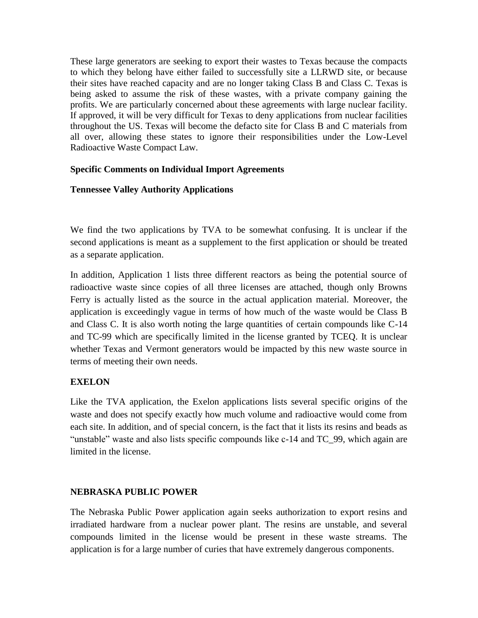These large generators are seeking to export their wastes to Texas because the compacts to which they belong have either failed to successfully site a LLRWD site, or because their sites have reached capacity and are no longer taking Class B and Class C. Texas is being asked to assume the risk of these wastes, with a private company gaining the profits. We are particularly concerned about these agreements with large nuclear facility. If approved, it will be very difficult for Texas to deny applications from nuclear facilities throughout the US. Texas will become the defacto site for Class B and C materials from all over, allowing these states to ignore their responsibilities under the Low-Level Radioactive Waste Compact Law.

# **Specific Comments on Individual Import Agreements**

# **Tennessee Valley Authority Applications**

We find the two applications by TVA to be somewhat confusing. It is unclear if the second applications is meant as a supplement to the first application or should be treated as a separate application.

In addition, Application 1 lists three different reactors as being the potential source of radioactive waste since copies of all three licenses are attached, though only Browns Ferry is actually listed as the source in the actual application material. Moreover, the application is exceedingly vague in terms of how much of the waste would be Class B and Class C. It is also worth noting the large quantities of certain compounds like C-14 and TC-99 which are specifically limited in the license granted by TCEQ. It is unclear whether Texas and Vermont generators would be impacted by this new waste source in terms of meeting their own needs.

# **EXELON**

Like the TVA application, the Exelon applications lists several specific origins of the waste and does not specify exactly how much volume and radioactive would come from each site. In addition, and of special concern, is the fact that it lists its resins and beads as "unstable" waste and also lists specific compounds like c-14 and TC\_99, which again are limited in the license.

## **NEBRASKA PUBLIC POWER**

The Nebraska Public Power application again seeks authorization to export resins and irradiated hardware from a nuclear power plant. The resins are unstable, and several compounds limited in the license would be present in these waste streams. The application is for a large number of curies that have extremely dangerous components.